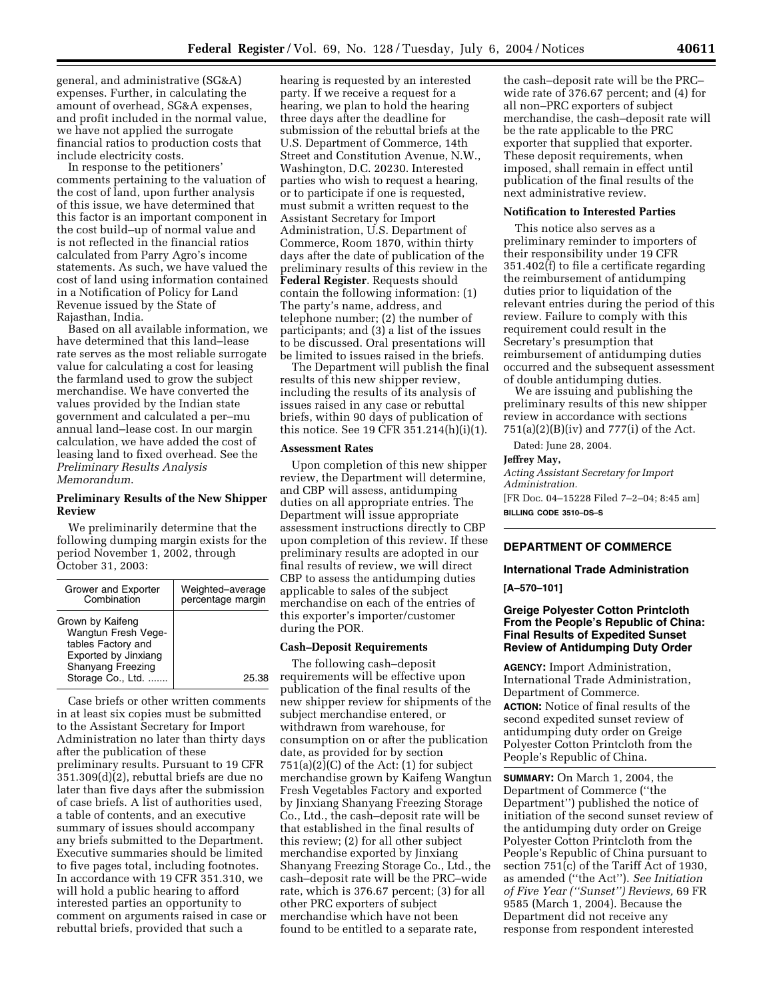general, and administrative (SG&A) expenses. Further, in calculating the amount of overhead, SG&A expenses, and profit included in the normal value, we have not applied the surrogate financial ratios to production costs that include electricity costs.

In response to the petitioners' comments pertaining to the valuation of the cost of land, upon further analysis of this issue, we have determined that this factor is an important component in the cost build–up of normal value and is not reflected in the financial ratios calculated from Parry Agro's income statements. As such, we have valued the cost of land using information contained in a Notification of Policy for Land Revenue issued by the State of Rajasthan, India.

Based on all available information, we have determined that this land–lease rate serves as the most reliable surrogate value for calculating a cost for leasing the farmland used to grow the subject merchandise. We have converted the values provided by the Indian state government and calculated a per–mu annual land–lease cost. In our margin calculation, we have added the cost of leasing land to fixed overhead. See the *Preliminary Results Analysis Memorandum*.

## **Preliminary Results of the New Shipper Review**

We preliminarily determine that the following dumping margin exists for the period November 1, 2002, through October 31, 2003:

| Grower and Exporter<br>Combination                                                                                                     | Weighted-average<br>percentage margin |
|----------------------------------------------------------------------------------------------------------------------------------------|---------------------------------------|
| Grown by Kaifeng<br>Wangtun Fresh Vege-<br>tables Factory and<br>Exported by Jinxiang<br><b>Shanyang Freezing</b><br>Storage Co., Ltd. | 25.38                                 |

Case briefs or other written comments in at least six copies must be submitted to the Assistant Secretary for Import Administration no later than thirty days after the publication of these preliminary results. Pursuant to 19 CFR  $351.309(d)(2)$ , rebuttal briefs are due no later than five days after the submission of case briefs. A list of authorities used, a table of contents, and an executive summary of issues should accompany any briefs submitted to the Department. Executive summaries should be limited to five pages total, including footnotes. In accordance with 19 CFR 351.310, we will hold a public hearing to afford interested parties an opportunity to comment on arguments raised in case or rebuttal briefs, provided that such a

hearing is requested by an interested party. If we receive a request for a hearing, we plan to hold the hearing three days after the deadline for submission of the rebuttal briefs at the U.S. Department of Commerce, 14th Street and Constitution Avenue, N.W., Washington, D.C. 20230. Interested parties who wish to request a hearing, or to participate if one is requested, must submit a written request to the Assistant Secretary for Import Administration, U.S. Department of Commerce, Room 1870, within thirty days after the date of publication of the preliminary results of this review in the **Federal Register**. Requests should contain the following information: (1) The party's name, address, and telephone number; (2) the number of participants; and (3) a list of the issues to be discussed. Oral presentations will be limited to issues raised in the briefs.

The Department will publish the final results of this new shipper review, including the results of its analysis of issues raised in any case or rebuttal briefs, within 90 days of publication of this notice. See 19 CFR 351.214(h)(i)(1).

### **Assessment Rates**

Upon completion of this new shipper review, the Department will determine, and CBP will assess, antidumping duties on all appropriate entries. The Department will issue appropriate assessment instructions directly to CBP upon completion of this review. If these preliminary results are adopted in our final results of review, we will direct CBP to assess the antidumping duties applicable to sales of the subject merchandise on each of the entries of this exporter's importer/customer during the POR.

#### **Cash–Deposit Requirements**

The following cash–deposit requirements will be effective upon publication of the final results of the new shipper review for shipments of the subject merchandise entered, or withdrawn from warehouse, for consumption on or after the publication date, as provided for by section  $751(a)(2)(C)$  of the Act:  $(1)$  for subject merchandise grown by Kaifeng Wangtun Fresh Vegetables Factory and exported by Jinxiang Shanyang Freezing Storage Co., Ltd., the cash–deposit rate will be that established in the final results of this review; (2) for all other subject merchandise exported by Jinxiang Shanyang Freezing Storage Co., Ltd., the cash–deposit rate will be the PRC–wide rate, which is 376.67 percent; (3) for all other PRC exporters of subject merchandise which have not been found to be entitled to a separate rate,

the cash–deposit rate will be the PRC– wide rate of 376.67 percent; and (4) for all non–PRC exporters of subject merchandise, the cash–deposit rate will be the rate applicable to the PRC exporter that supplied that exporter. These deposit requirements, when imposed, shall remain in effect until publication of the final results of the next administrative review.

#### **Notification to Interested Parties**

This notice also serves as a preliminary reminder to importers of their responsibility under 19 CFR 351.402(f) to file a certificate regarding the reimbursement of antidumping duties prior to liquidation of the relevant entries during the period of this review. Failure to comply with this requirement could result in the Secretary's presumption that reimbursement of antidumping duties occurred and the subsequent assessment of double antidumping duties.

We are issuing and publishing the preliminary results of this new shipper review in accordance with sections 751(a)(2)(B)(iv) and 777(i) of the Act.

Dated: June 28, 2004.

#### **Jeffrey May,**

*Acting Assistant Secretary for Import Administration.* [FR Doc. 04–15228 Filed 7–2–04; 8:45 am] **BILLING CODE 3510–DS–S**

# **DEPARTMENT OF COMMERCE**

#### **International Trade Administration**

**[A–570–101]** 

# **Greige Polyester Cotton Printcloth From the People's Republic of China: Final Results of Expedited Sunset Review of Antidumping Duty Order**

**AGENCY:** Import Administration, International Trade Administration, Department of Commerce. **ACTION:** Notice of final results of the second expedited sunset review of antidumping duty order on Greige Polyester Cotton Printcloth from the People's Republic of China.

**SUMMARY:** On March 1, 2004, the Department of Commerce (''the Department'') published the notice of initiation of the second sunset review of the antidumping duty order on Greige Polyester Cotton Printcloth from the People's Republic of China pursuant to section 751(c) of the Tariff Act of 1930, as amended (''the Act''). *See Initiation of Five Year (''Sunset'') Reviews,* 69 FR 9585 (March 1, 2004). Because the Department did not receive any response from respondent interested